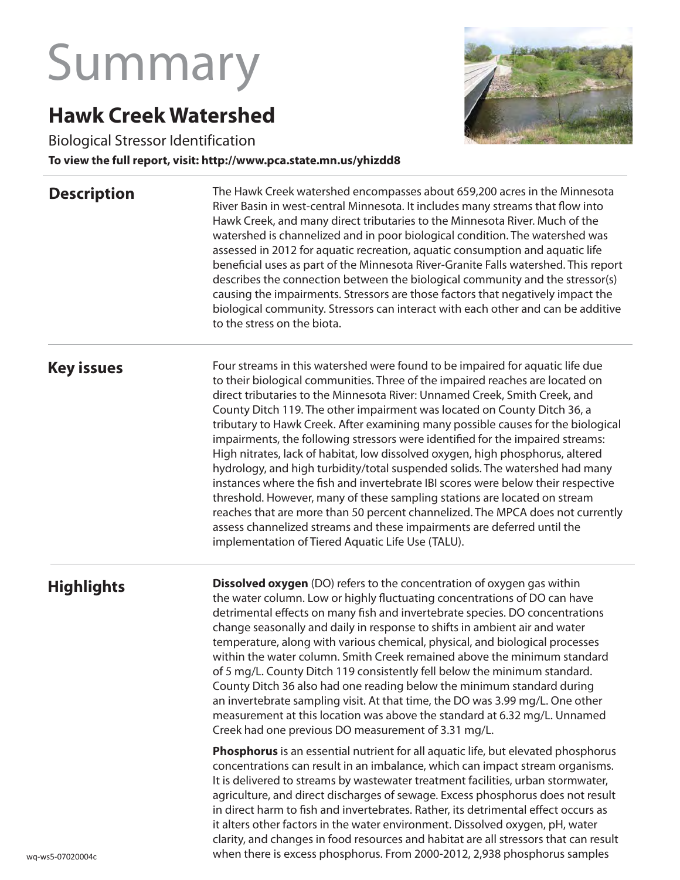# Summary

## **Hawk Creek Watershed**

Biological Stressor Identification

#### **To view the full report, visit: http://www.pca.state.mn.us/yhizdd8**

#### **Description**



The Hawk Creek watershed encompasses about 659,200 acres in the Minnesota River Basin in west-central Minnesota. It includes many streams that flow into Hawk Creek, and many direct tributaries to the Minnesota River. Much of the watershed is channelized and in poor biological condition. The watershed was assessed in 2012 for aquatic recreation, aquatic consumption and aquatic life beneficial uses as part of the Minnesota River-Granite Falls watershed. This report describes the connection between the biological community and the stressor(s) causing the impairments. Stressors are those factors that negatively impact the biological community. Stressors can interact with each other and can be additive to the stress on the biota.

#### **Key issues**

Four streams in this watershed were found to be impaired for aquatic life due to their biological communities. Three of the impaired reaches are located on direct tributaries to the Minnesota River: Unnamed Creek, Smith Creek, and County Ditch 119. The other impairment was located on County Ditch 36, a tributary to Hawk Creek. After examining many possible causes for the biological impairments, the following stressors were identified for the impaired streams: High nitrates, lack of habitat, low dissolved oxygen, high phosphorus, altered hydrology, and high turbidity/total suspended solids. The watershed had many instances where the fish and invertebrate IBI scores were below their respective threshold. However, many of these sampling stations are located on stream reaches that are more than 50 percent channelized. The MPCA does not currently assess channelized streams and these impairments are deferred until the implementation of Tiered Aquatic Life Use (TALU).

### **Highlights**

**Dissolved oxygen** (DO) refers to the concentration of oxygen gas within the water column. Low or highly fluctuating concentrations of DO can have detrimental effects on many fish and invertebrate species. DO concentrations change seasonally and daily in response to shifts in ambient air and water temperature, along with various chemical, physical, and biological processes within the water column. Smith Creek remained above the minimum standard of 5 mg/L. County Ditch 119 consistently fell below the minimum standard. County Ditch 36 also had one reading below the minimum standard during an invertebrate sampling visit. At that time, the DO was 3.99 mg/L. One other measurement at this location was above the standard at 6.32 mg/L. Unnamed Creek had one previous DO measurement of 3.31 mg/L.

**Phosphorus** is an essential nutrient for all aquatic life, but elevated phosphorus concentrations can result in an imbalance, which can impact stream organisms. It is delivered to streams by wastewater treatment facilities, urban stormwater, agriculture, and direct discharges of sewage. Excess phosphorus does not result in direct harm to fish and invertebrates. Rather, its detrimental effect occurs as it alters other factors in the water environment. Dissolved oxygen, pH, water clarity, and changes in food resources and habitat are all stressors that can result when there is excess phosphorus. From 2000-2012, 2,938 phosphorus samples